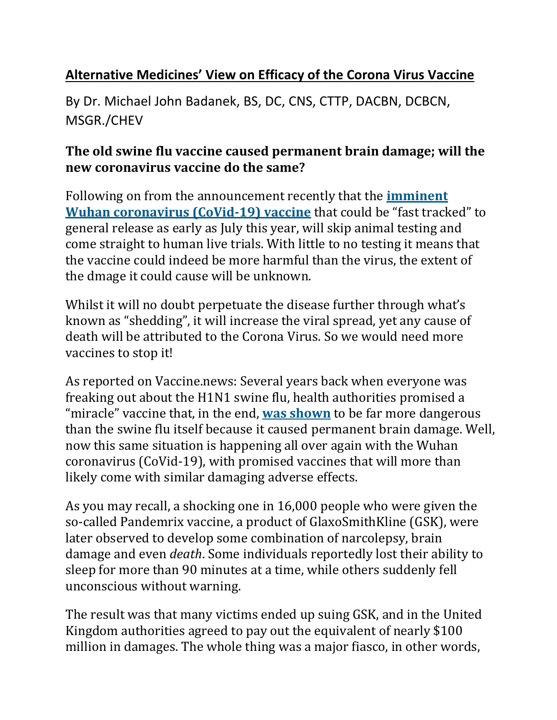## **Alternative Medicines' View on Efficacy of the Corona Virus Vaccine**

By Dr. Michael John Badanek, BS, DC, CNS, CTTP, DACBN, DCBCN, MSGR./CHEV

## **The old swine flu vaccine caused permanent brain damage; will the new coronavirus vaccine do the same?**

Following on from the announcement recently that the **[imminent](https://healingoracle.ch/2020/03/07/the-corona-virus-vaccine-is-now-ready-for-human-testing/) Wuhan coronavirus (CoVid-19) vaccine** that could be"fast tracked" to general release as early as July this year, will skip animal testing and come straight to human live trials. With little to no testing it means that the vaccine could indeed bemore harmful than the virus, the extent of the dmage it could cause will be unknown.

Whilst it will no doubt perpetuate the disease further through what's known as "shedding", it will increase the viral spread, yet any cause of death will be attributed to the Corona Virus. So we would need more vaccines to stop it!

As reported on Vaccine.news: Several years back when everyone was freaking out about the H1N1 swine flu, health authorities promised a "miracle" vaccine that, in the end, was [shown](https://www.naturalnews.com/051606_swine_flu_Pandemrix_vaccine_GlaxoSmithKline.html) to be far more dangerous than the swine flu itself because it caused permanent brain damage. Well, now this same situation is happening all over again with the Wuhan coronavirus (CoVid-19), with promised vaccines that will more than likely come with similar damaging adverse effects.

As you may recall, a shocking one in 16,000 people who were given the so-called Pandemrix vaccine, a product of GlaxoSmithKline (GSK), were later observed to develop some combination of narcolepsy, brain damage and even *death*. Some individuals reportedly lost their ability to sleep for more than 90 minutes at a time, while others suddenly fell unconscious without warning.

The result was that many victims ended up suing GSK, and in the United Kingdom authorities agreed to pay out the equivalent of nearly \$100 million in damages. The whole thing was a major fiasco, in other words,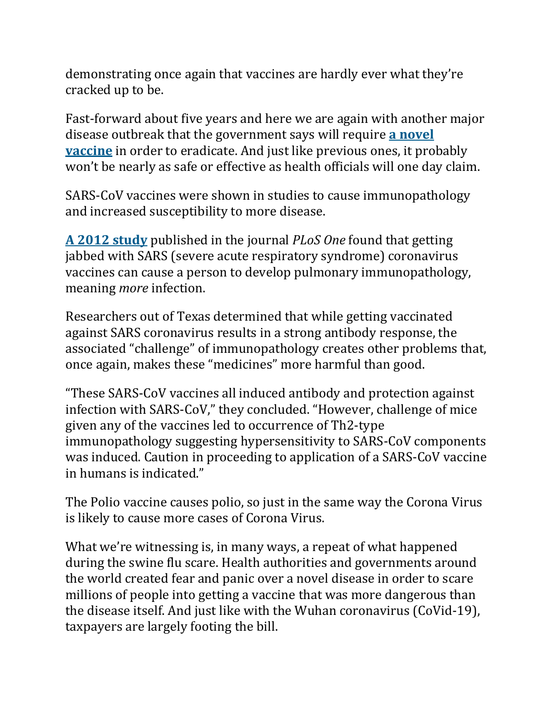demonstrating once again that vaccines are hardly ever what they're cracked up to be.

Fast-forward about five years and here we are again with another major disease outbreak that the government says will require **a [novel](https://www.naturalnews.com/2020-03-01-hhs-azar-coronavirus-vaccine-may-not-be-affordable-to-all.html) vaccine** in order to eradicate. And just like previous ones, it probably won't be nearly as safe or effective as health officials will one day claim.

SARS-CoV vaccines were shown in studies to cause immunopathology and increased susceptibility to more disease.

**A 2012 [study](https://journals.plos.org/plosone/article?id=10.1371/journal.pone.0035421)** published in the journal *PLoS One* found that getting jabbed with SARS (severe acute respiratory syndrome) coronavirus vaccines can cause a person to develop pulmonary immunopathology, meaning *more* infection.

Researchers out of Texas determined that while getting vaccinated against SARS coronavirus results in a strong antibody response, the associated "challenge" of immunopathology creates other problems that, once again, makes these "medicines" more harmful than good.

"These SARS-CoV vaccines all induced antibody and protection against infection with SARS-CoV," they concluded. "However, challenge of mice given any of the vaccines led to occurrence of Th2-type immunopathology suggesting hypersensitivity to SARS-CoV components was induced. Caution in proceeding to application of a SARS-CoV vaccine in humans is indicated."

The Polio vaccine causes polio, so just in the same way the Corona Virus is likely to cause more cases of Corona Virus.

What we're witnessing is, in many ways, a repeat of what happened during the swine flu scare. Health authorities and governments around the world created fear and panic over a novel disease in order to scare millions of people into getting a vaccine that was more dangerous than the disease itself. And just like with the Wuhan coronavirus (CoVid-19), taxpayers are largely footing the bill.